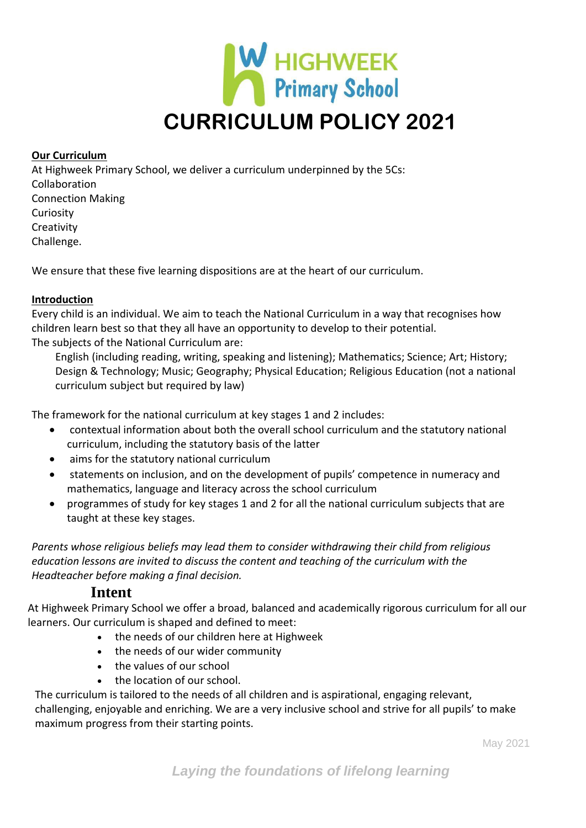

#### **Our Curriculum**

At Highweek Primary School, we deliver a curriculum underpinned by the 5Cs: Collaboration Connection Making Curiosity **Creativity** Challenge.

We ensure that these five learning dispositions are at the heart of our curriculum.

## **Introduction**

Every child is an individual. We aim to teach the National Curriculum in a way that recognises how children learn best so that they all have an opportunity to develop to their potential. The subjects of the National Curriculum are:

English (including reading, writing, speaking and listening); Mathematics; Science; Art; History; Design & Technology; Music; Geography; Physical Education; Religious Education (not a national curriculum subject but required by law)

The framework for the national curriculum at key stages 1 and 2 includes:

- contextual information about both the overall school curriculum and the statutory national curriculum, including the statutory basis of the latter
- aims for the statutory national curriculum
- statements on inclusion, and on the development of pupils' competence in numeracy and mathematics, language and literacy across the school curriculum
- programmes of study for key stages 1 and 2 for all the national curriculum subjects that are taught at these key stages.

*Parents whose religious beliefs may lead them to consider withdrawing their child from religious education lessons are invited to discuss the content and teaching of the curriculum with the Headteacher before making a final decision.*

## **Intent**

At Highweek Primary School we offer a broad, balanced and academically rigorous curriculum for all our learners. Our curriculum is shaped and defined to meet:

- the needs of our children here at Highweek
- the needs of our wider community
- the values of our school
- the location of our school.

The curriculum is tailored to the needs of all children and is aspirational, engaging relevant, challenging, enjoyable and enriching. We are a very inclusive school and strive for all pupils' to make maximum progress from their starting points.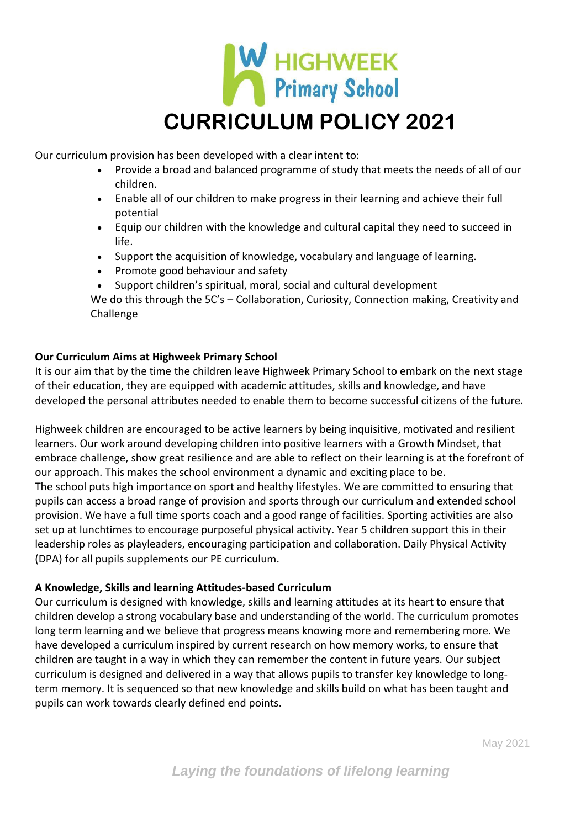

Our curriculum provision has been developed with a clear intent to:

- Provide a broad and balanced programme of study that meets the needs of all of our children.
- Enable all of our children to make progress in their learning and achieve their full potential
- Equip our children with the knowledge and cultural capital they need to succeed in life.
- Support the acquisition of knowledge, vocabulary and language of learning.
- Promote good behaviour and safety
- Support children's spiritual, moral, social and cultural development

We do this through the 5C's - Collaboration, Curiosity, Connection making, Creativity and Challenge

## **Our Curriculum Aims at Highweek Primary School**

It is our aim that by the time the children leave Highweek Primary School to embark on the next stage of their education, they are equipped with academic attitudes, skills and knowledge, and have developed the personal attributes needed to enable them to become successful citizens of the future.

Highweek children are encouraged to be active learners by being inquisitive, motivated and resilient learners. Our work around developing children into positive learners with a Growth Mindset, that embrace challenge, show great resilience and are able to reflect on their learning is at the forefront of our approach. This makes the school environment a dynamic and exciting place to be. The school puts high importance on sport and healthy lifestyles. We are committed to ensuring that pupils can access a broad range of provision and sports through our curriculum and extended school provision. We have a full time sports coach and a good range of facilities. Sporting activities are also set up at lunchtimes to encourage purposeful physical activity. Year 5 children support this in their leadership roles as playleaders, encouraging participation and collaboration. Daily Physical Activity (DPA) for all pupils supplements our PE curriculum.

## **A Knowledge, Skills and learning Attitudes-based Curriculum**

Our curriculum is designed with knowledge, skills and learning attitudes at its heart to ensure that children develop a strong vocabulary base and understanding of the world. The curriculum promotes long term learning and we believe that progress means knowing more and remembering more. We have developed a curriculum inspired by current research on how memory works, to ensure that children are taught in a way in which they can remember the content in future years. Our subject curriculum is designed and delivered in a way that allows pupils to transfer key knowledge to longterm memory. It is sequenced so that new knowledge and skills build on what has been taught and pupils can work towards clearly defined end points.

May 2021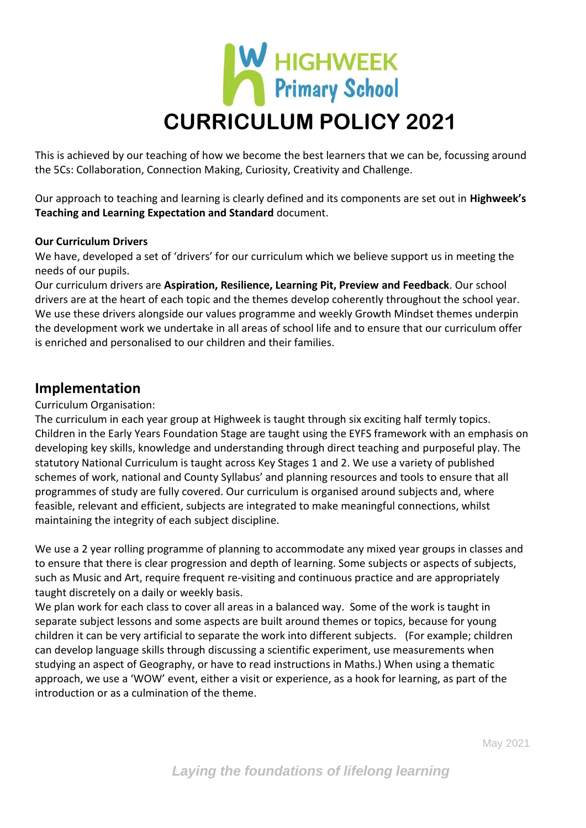

This is achieved by our teaching of how we become the best learners that we can be, focussing around the 5Cs: Collaboration, Connection Making, Curiosity, Creativity and Challenge.

Our approach to teaching and learning is clearly defined and its components are set out in **Highweek's Teaching and Learning Expectation and Standard** document.

#### **Our Curriculum Drivers**

We have, developed a set of 'drivers' for our curriculum which we believe support us in meeting the needs of our pupils.

Our curriculum drivers are **Aspiration, Resilience, Learning Pit, Preview and Feedback**. Our school drivers are at the heart of each topic and the themes develop coherently throughout the school year. We use these drivers alongside our values programme and weekly Growth Mindset themes underpin the development work we undertake in all areas of school life and to ensure that our curriculum offer is enriched and personalised to our children and their families.

## **Implementation**

## Curriculum Organisation:

The curriculum in each year group at Highweek is taught through six exciting half termly topics. Children in the Early Years Foundation Stage are taught using the EYFS framework with an emphasis on developing key skills, knowledge and understanding through direct teaching and purposeful play. The statutory National Curriculum is taught across Key Stages 1 and 2. We use a variety of published schemes of work, national and County Syllabus' and planning resources and tools to ensure that all programmes of study are fully covered. Our curriculum is organised around subjects and, where feasible, relevant and efficient, subjects are integrated to make meaningful connections, whilst maintaining the integrity of each subject discipline.

We use a 2 year rolling programme of planning to accommodate any mixed year groups in classes and to ensure that there is clear progression and depth of learning. Some subjects or aspects of subjects, such as Music and Art, require frequent re-visiting and continuous practice and are appropriately taught discretely on a daily or weekly basis.

We plan work for each class to cover all areas in a balanced way. Some of the work is taught in separate subject lessons and some aspects are built around themes or topics, because for young children it can be very artificial to separate the work into different subjects. (For example; children can develop language skills through discussing a scientific experiment, use measurements when studying an aspect of Geography, or have to read instructions in Maths.) When using a thematic approach, we use a 'WOW' event, either a visit or experience, as a hook for learning, as part of the introduction or as a culmination of the theme.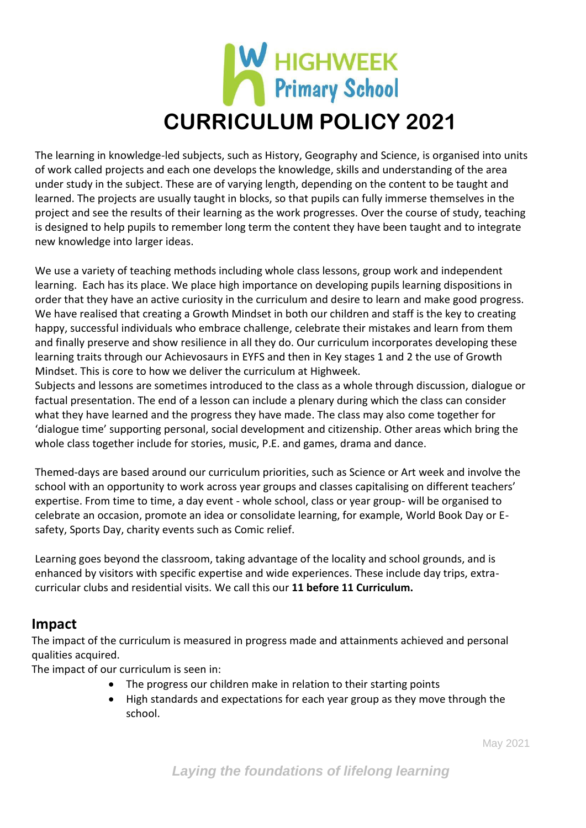

The learning in knowledge-led subjects, such as History, Geography and Science, is organised into units of work called projects and each one develops the knowledge, skills and understanding of the area under study in the subject. These are of varying length, depending on the content to be taught and learned. The projects are usually taught in blocks, so that pupils can fully immerse themselves in the project and see the results of their learning as the work progresses. Over the course of study, teaching is designed to help pupils to remember long term the content they have been taught and to integrate new knowledge into larger ideas.

We use a variety of teaching methods including whole class lessons, group work and independent learning. Each has its place. We place high importance on developing pupils learning dispositions in order that they have an active curiosity in the curriculum and desire to learn and make good progress. We have realised that creating a Growth Mindset in both our children and staff is the key to creating happy, successful individuals who embrace challenge, celebrate their mistakes and learn from them and finally preserve and show resilience in all they do. Our curriculum incorporates developing these learning traits through our Achievosaurs in EYFS and then in Key stages 1 and 2 the use of Growth Mindset. This is core to how we deliver the curriculum at Highweek.

Subjects and lessons are sometimes introduced to the class as a whole through discussion, dialogue or factual presentation. The end of a lesson can include a plenary during which the class can consider what they have learned and the progress they have made. The class may also come together for 'dialogue time' supporting personal, social development and citizenship. Other areas which bring the whole class together include for stories, music, P.E. and games, drama and dance.

Themed-days are based around our curriculum priorities, such as Science or Art week and involve the school with an opportunity to work across year groups and classes capitalising on different teachers' expertise. From time to time, a day event - whole school, class or year group- will be organised to celebrate an occasion, promote an idea or consolidate learning, for example, World Book Day or Esafety, Sports Day, charity events such as Comic relief.

Learning goes beyond the classroom, taking advantage of the locality and school grounds, and is enhanced by visitors with specific expertise and wide experiences. These include day trips, extracurricular clubs and residential visits. We call this our **11 before 11 Curriculum.**

# **Impact**

The impact of the curriculum is measured in progress made and attainments achieved and personal qualities acquired.

The impact of our curriculum is seen in:

- The progress our children make in relation to their starting points
- High standards and expectations for each year group as they move through the school.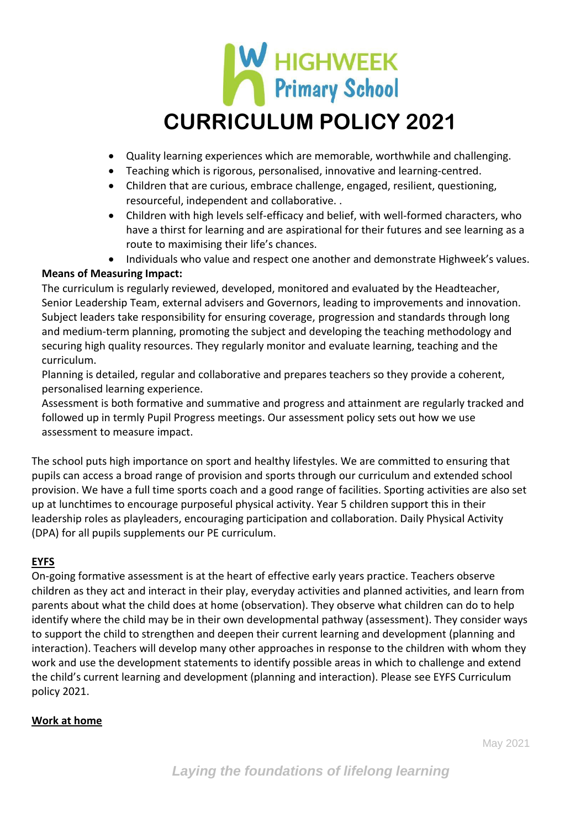

- Quality learning experiences which are memorable, worthwhile and challenging.
- Teaching which is rigorous, personalised, innovative and learning-centred.
- Children that are curious, embrace challenge, engaged, resilient, questioning, resourceful, independent and collaborative. .
- Children with high levels self-efficacy and belief, with well-formed characters, who have a thirst for learning and are aspirational for their futures and see learning as a route to maximising their life's chances.
- Individuals who value and respect one another and demonstrate Highweek's values.

## **Means of Measuring Impact:**

The curriculum is regularly reviewed, developed, monitored and evaluated by the Headteacher, Senior Leadership Team, external advisers and Governors, leading to improvements and innovation. Subject leaders take responsibility for ensuring coverage, progression and standards through long and medium-term planning, promoting the subject and developing the teaching methodology and securing high quality resources. They regularly monitor and evaluate learning, teaching and the curriculum.

Planning is detailed, regular and collaborative and prepares teachers so they provide a coherent, personalised learning experience.

Assessment is both formative and summative and progress and attainment are regularly tracked and followed up in termly Pupil Progress meetings. Our assessment policy sets out how we use assessment to measure impact.

The school puts high importance on sport and healthy lifestyles. We are committed to ensuring that pupils can access a broad range of provision and sports through our curriculum and extended school provision. We have a full time sports coach and a good range of facilities. Sporting activities are also set up at lunchtimes to encourage purposeful physical activity. Year 5 children support this in their leadership roles as playleaders, encouraging participation and collaboration. Daily Physical Activity (DPA) for all pupils supplements our PE curriculum.

## **EYFS**

On-going formative assessment is at the heart of effective early years practice. Teachers observe children as they act and interact in their play, everyday activities and planned activities, and learn from parents about what the child does at home (observation). They observe what children can do to help identify where the child may be in their own developmental pathway (assessment). They consider ways to support the child to strengthen and deepen their current learning and development (planning and interaction). Teachers will develop many other approaches in response to the children with whom they work and use the development statements to identify possible areas in which to challenge and extend the child's current learning and development (planning and interaction). Please see EYFS Curriculum policy 2021.

## **Work at home**

May 2021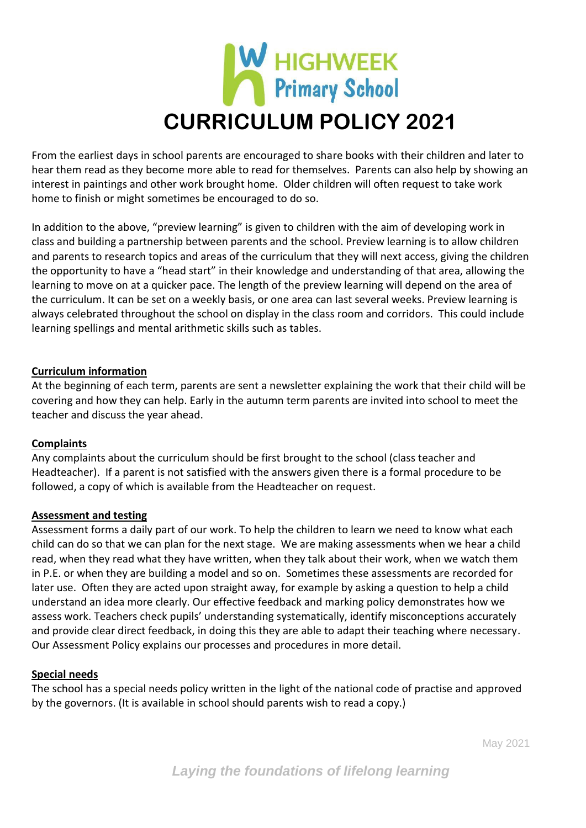

From the earliest days in school parents are encouraged to share books with their children and later to hear them read as they become more able to read for themselves. Parents can also help by showing an interest in paintings and other work brought home. Older children will often request to take work home to finish or might sometimes be encouraged to do so.

In addition to the above, "preview learning" is given to children with the aim of developing work in class and building a partnership between parents and the school. Preview learning is to allow children and parents to research topics and areas of the curriculum that they will next access, giving the children the opportunity to have a "head start" in their knowledge and understanding of that area, allowing the learning to move on at a quicker pace. The length of the preview learning will depend on the area of the curriculum. It can be set on a weekly basis, or one area can last several weeks. Preview learning is always celebrated throughout the school on display in the class room and corridors. This could include learning spellings and mental arithmetic skills such as tables.

#### **Curriculum information**

At the beginning of each term, parents are sent a newsletter explaining the work that their child will be covering and how they can help. Early in the autumn term parents are invited into school to meet the teacher and discuss the year ahead.

#### **Complaints**

Any complaints about the curriculum should be first brought to the school (class teacher and Headteacher). If a parent is not satisfied with the answers given there is a formal procedure to be followed, a copy of which is available from the Headteacher on request.

#### **Assessment and testing**

Assessment forms a daily part of our work. To help the children to learn we need to know what each child can do so that we can plan for the next stage. We are making assessments when we hear a child read, when they read what they have written, when they talk about their work, when we watch them in P.E. or when they are building a model and so on. Sometimes these assessments are recorded for later use. Often they are acted upon straight away, for example by asking a question to help a child understand an idea more clearly. Our effective feedback and marking policy demonstrates how we assess work. Teachers check pupils' understanding systematically, identify misconceptions accurately and provide clear direct feedback, in doing this they are able to adapt their teaching where necessary. Our Assessment Policy explains our processes and procedures in more detail.

#### **Special needs**

The school has a special needs policy written in the light of the national code of practise and approved by the governors. (It is available in school should parents wish to read a copy.)

May 2021